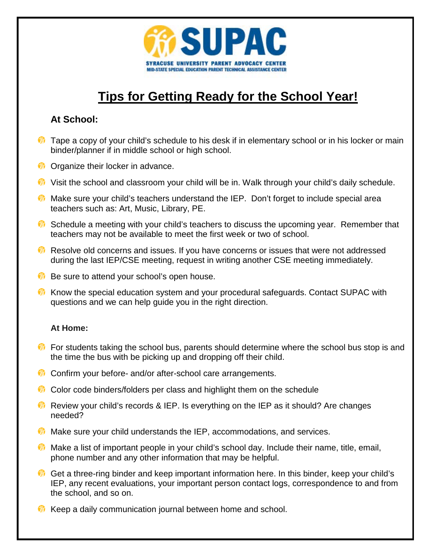

## **Tips for Getting Ready for the School Year!**

## **At School:**

- $\bullet$  Tape a copy of your child's schedule to his desk if in elementary school or in his locker or main binder/planner if in middle school or high school.
- **C** Organize their locker in advance.
- **W** Visit the school and classroom your child will be in. Walk through your child's daily schedule.
- **M** Make sure your child's teachers understand the IEP. Don't forget to include special area teachers such as: Art, Music, Library, PE.
- **C** Schedule a meeting with your child's teachers to discuss the upcoming year. Remember that teachers may not be available to meet the first week or two of school.
- **Resolve old concerns and issues. If you have concerns or issues that were not addressed** during the last IEP/CSE meeting, request in writing another CSE meeting immediately.
- **B** Be sure to attend your school's open house.
- **M** Know the special education system and your procedural safeguards. Contact SUPAC with questions and we can help guide you in the right direction.

## **At Home:**

- $\bullet$  For students taking the school bus, parents should determine where the school bus stop is and the time the bus with be picking up and dropping off their child.
- **Confirm your before- and/or after-school care arrangements.**
- **Color code binders/folders per class and highlight them on the schedule**
- **Review your child's records & IEP. Is everything on the IEP as it should? Are changes** needed?
- **Make sure your child understands the IEP, accommodations, and services.**
- **Make a list of important people in your child's school day. Include their name, title, email,** phone number and any other information that may be helpful.
- Get a three-ring binder and keep important information here. In this binder, keep your child's IEP, any recent evaluations, your important person contact logs, correspondence to and from the school, and so on.
- **Keep a daily communication journal between home and school.**